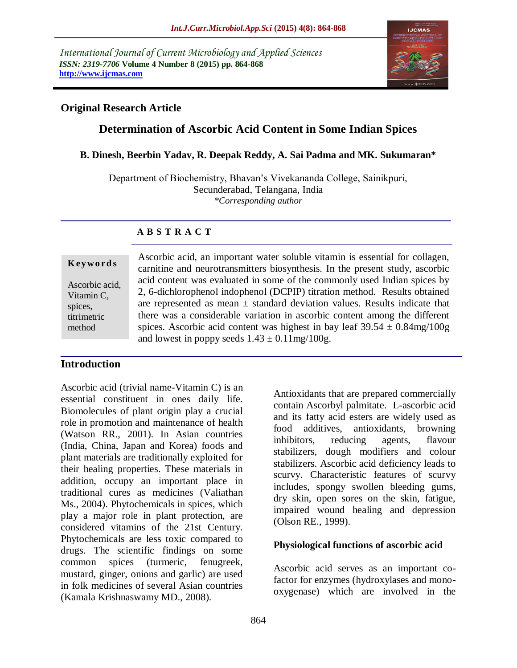*International Journal of Current Microbiology and Applied Sciences ISSN: 2319-7706* **Volume 4 Number 8 (2015) pp. 864-868 http://www.ijcmas.com** 



## **Original Research Article**

# **Determination of Ascorbic Acid Content in Some Indian Spices**

#### **B. Dinesh, Beerbin Yadav, R. Deepak Reddy, A. Sai Padma and MK. Sukumaran\***

Department of Biochemistry, Bhavan's Vivekananda College, Sainikpuri, Secunderabad, Telangana, India *\*Corresponding author*

### **A B S T R A C T**

#### **K ey w o rd s**

Ascorbic acid, Vitamin C, spices, titrimetric method

Ascorbic acid, an important water soluble vitamin is essential for collagen, carnitine and neurotransmitters biosynthesis. In the present study, ascorbic acid content was evaluated in some of the commonly used Indian spices by 2, 6-dichlorophenol indophenol (DCPIP) titration method. Results obtained are represented as mean  $\pm$  standard deviation values. Results indicate that there was a considerable variation in ascorbic content among the different spices. Ascorbic acid content was highest in bay leaf  $39.54 \pm 0.84$ mg/100g and lowest in poppy seeds  $1.43 \pm 0.11$  mg/ $100$ g.

### **Introduction**

Ascorbic acid (trivial name-Vitamin C) is an essential constituent in ones daily life. Biomolecules of plant origin play a crucial role in promotion and maintenance of health (Watson RR., 2001). In Asian countries (India, China, Japan and Korea) foods and plant materials are traditionally exploited for their healing properties. These materials in addition, occupy an important place in traditional cures as medicines (Valiathan Ms., 2004). Phytochemicals in spices, which play a major role in plant protection, are considered vitamins of the 21st Century. Phytochemicals are less toxic compared to drugs. The scientific findings on some common spices (turmeric, fenugreek, mustard, ginger, onions and garlic) are used in folk medicines of several Asian countries (Kamala Krishnaswamy MD., 2008).

Antioxidants that are prepared commercially contain Ascorbyl palmitate. L-ascorbic acid and its fatty acid esters are widely used as food additives, antioxidants, browning inhibitors, reducing agents, flavour stabilizers, dough modifiers and colour stabilizers. Ascorbic acid deficiency leads to scurvy. Characteristic features of scurvy includes, spongy swollen bleeding gums, dry skin, open sores on the skin, fatigue, impaired wound healing and depression (Olson RE., 1999).

### **Physiological functions of ascorbic acid**

Ascorbic acid serves as an important cofactor for enzymes (hydroxylases and monooxygenase) which are involved in the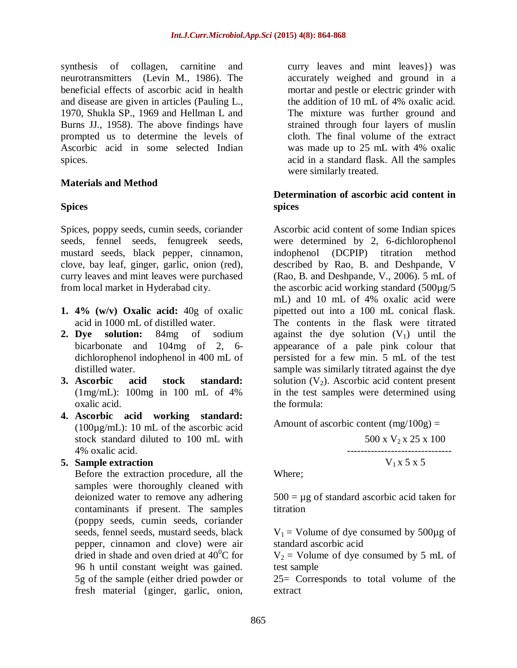synthesis of collagen, carnitine and neurotransmitters (Levin M., 1986). The beneficial effects of ascorbic acid in health and disease are given in articles (Pauling L., 1970, Shukla SP., 1969 and Hellman L and Burns JJ., 1958). The above findings have prompted us to determine the levels of Ascorbic acid in some selected Indian spices.

## **Materials and Method**

## **Spices**

Spices, poppy seeds, cumin seeds, coriander seeds, fennel seeds, fenugreek seeds, mustard seeds, black pepper, cinnamon, clove, bay leaf, ginger, garlic, onion (red), curry leaves and mint leaves were purchased from local market in Hyderabad city.

- **1. 4% (w/v) Oxalic acid:** 40g of oxalic acid in 1000 mL of distilled water.
- **2. Dye solution:** 84mg of sodium bicarbonate and 104mg of 2, 6 dichlorophenol indophenol in 400 mL of distilled water.
- **3. Ascorbic acid stock standard:** (1mg/mL): 100mg in 100 mL of 4% oxalic acid.
- **4. Ascorbic acid working standard:** (100µg/mL): 10 mL of the ascorbic acid stock standard diluted to 100 mL with 4% oxalic acid.

### **5. Sample extraction**

Before the extraction procedure, all the samples were thoroughly cleaned with deionized water to remove any adhering contaminants if present. The samples (poppy seeds, cumin seeds, coriander seeds, fennel seeds, mustard seeds, black pepper, cinnamon and clove) were air dried in shade and oven dried at  $40^{\circ}$ C for 96 h until constant weight was gained. 5g of the sample (either dried powder or fresh material {ginger, garlic, onion,

curry leaves and mint leaves}) was accurately weighed and ground in a mortar and pestle or electric grinder with the addition of 10 mL of 4% oxalic acid. The mixture was further ground and strained through four layers of muslin cloth. The final volume of the extract was made up to 25 mL with 4% oxalic acid in a standard flask. All the samples were similarly treated.

## **Determination of ascorbic acid content in spices**

Ascorbic acid content of some Indian spices were determined by 2, 6-dichlorophenol indophenol (DCPIP) titration method described by Rao, B. and Deshpande, V (Rao, B. and Deshpande, V., 2006). 5 mL of the ascorbic acid working standard (500µg/5 mL) and 10 mL of 4% oxalic acid were pipetted out into a 100 mL conical flask. The contents in the flask were titrated against the dye solution  $(V_1)$  until the appearance of a pale pink colour that persisted for a few min. 5 mL of the test sample was similarly titrated against the dye solution  $(V_2)$ . Ascorbic acid content present in the test samples were determined using the formula:

Amount of ascorbic content  $(mg/100g) =$ 500 x V<sub>2</sub> x 25 x 100 -------------------------------  $V_1 x 5 x 5$ 

Where;

 $500 = \mu$ g of standard ascorbic acid taken for titration

 $V_1$  = Volume of dye consumed by 500 $\mu$ g of standard ascorbic acid

 $V_2$  = Volume of dye consumed by 5 mL of test sample

25= Corresponds to total volume of the extract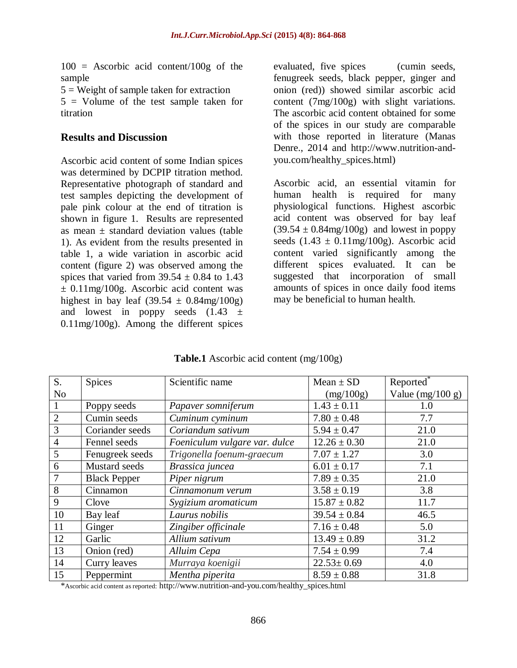$100 =$  Ascorbic acid content/100g of the sample

 $5 =$  Weight of sample taken for extraction 5 = Volume of the test sample taken for titration

#### **Results and Discussion**

Ascorbic acid content of some Indian spices was determined by DCPIP titration method. Representative photograph of standard and test samples depicting the development of pale pink colour at the end of titration is shown in figure 1. Results are represented as mean  $\pm$  standard deviation values (table 1). As evident from the results presented in table 1, a wide variation in ascorbic acid content (figure 2) was observed among the spices that varied from  $39.54 \pm 0.84$  to 1.43 ± 0.11mg/100g. Ascorbic acid content was highest in bay leaf  $(39.54 \pm 0.84 \text{mg}/100 \text{g})$ and lowest in poppy seeds  $(1.43 \pm$ 0.11mg/100g). Among the different spices

evaluated, five spices (cumin seeds, fenugreek seeds, black pepper, ginger and onion (red)) showed similar ascorbic acid content (7mg/100g) with slight variations. The ascorbic acid content obtained for some of the spices in our study are comparable with those reported in literature (Manas Denre., 2014 and [http://www.nutrition-and](http://www.nutrition-and-you.com/healthy_spices.html)[you.com/healthy\\_spices.html\)](http://www.nutrition-and-you.com/healthy_spices.html)

Ascorbic acid, an essential vitamin for human health is required for many physiological functions. Highest ascorbic acid content was observed for bay leaf  $(39.54 \pm 0.84 \text{mg}/100 \text{g})$  and lowest in poppy seeds  $(1.43 \pm 0.11 \text{mg}/100 \text{g})$ . Ascorbic acid content varied significantly among the different spices evaluated. It can be suggested that incorporation of small amounts of spices in once daily food items may be beneficial to human health.

| S.             | <b>Spices</b>       | Scientific name               | $Mean \pm SD$    | Reported <sup>*</sup> |
|----------------|---------------------|-------------------------------|------------------|-----------------------|
| N <sub>o</sub> |                     |                               | (mg/100g)        | Value (mg/100 g)      |
|                | Poppy seeds         | Papaver somniferum            | $1.43 \pm 0.11$  | 1.0                   |
| $\overline{2}$ | Cumin seeds         | Cuminum cyminum               | $7.80 \pm 0.48$  | 7.7                   |
| 3              | Coriander seeds     | Coriandum sativum             | $5.94 \pm 0.47$  | 21.0                  |
| $\overline{4}$ | Fennel seeds        | Foeniculum vulgare var. dulce | $12.26 \pm 0.30$ | 21.0                  |
| 5              | Fenugreek seeds     | Trigonella foenum-graecum     | $7.07 \pm 1.27$  | 3.0                   |
| 6              | Mustard seeds       | Brassica juncea               | $6.01 \pm 0.17$  | 7.1                   |
|                | <b>Black Pepper</b> | Piper nigrum                  | $7.89 \pm 0.35$  | 21.0                  |
| 8              | Cinnamon            | Cinnamonum verum              | $3.58 \pm 0.19$  | 3.8                   |
| 9              | Clove               | Sygizium aromaticum           | $15.87 \pm 0.82$ | 11.7                  |
| 10             | Bay leaf            | Laurus nobilis                | $39.54 \pm 0.84$ | 46.5                  |
| 11             | Ginger              | Zingiber officinale           | $7.16 \pm 0.48$  | 5.0                   |
| 12             | Garlic              | Allium sativum                | $13.49 \pm 0.89$ | 31.2                  |
| 13             | Onion (red)         | Alluim Cepa                   | $7.54 \pm 0.99$  | 7.4                   |
| 14             | Curry leaves        | Murraya koenigii              | $22.53 \pm 0.69$ | 4.0                   |
| 15             | Peppermint          | Mentha piperita               | $8.59 \pm 0.88$  | 31.8                  |

**Table.1** Ascorbic acid content (mg/100g)

\*Ascorbic acid content as reported: [http://www.nutrition-and-you.com/healthy\\_spices.html](http://www.nutrition-and-you.com/healthy_spices.html)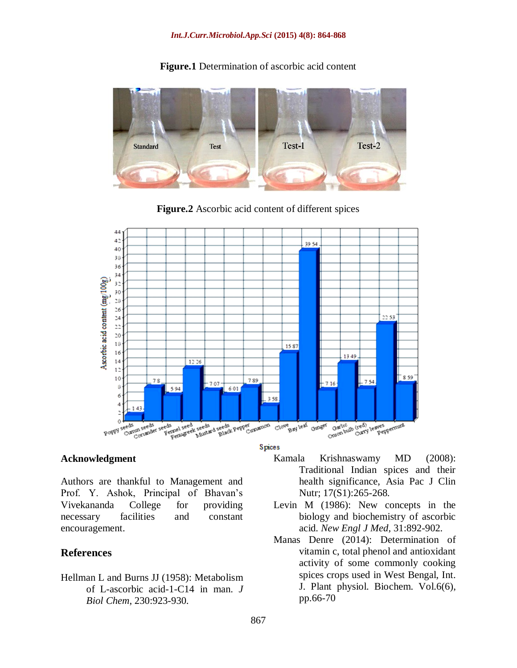#### *Int.J.Curr.Microbiol.App.Sci* **(2015) 4(8): 864-868**



**Figure.1** Determination of ascorbic acid content

**Figure.2** Ascorbic acid content of different spices



#### **Acknowledgment**

Authors are thankful to Management and Prof. Y. Ashok, Principal of Bhavan's Vivekananda College for providing necessary facilities and constant encouragement.

#### **References**

Hellman L and Burns JJ (1958): Metabolism of L-ascorbic acid-1-C14 in man. *J Biol Chem*, 230:923-930.

- Kamala Krishnaswamy MD (2008): Traditional Indian spices and their health significance, Asia Pac J Clin Nutr; 17(S1):265-268.
- Levin M (1986): New concepts in the biology and biochemistry of ascorbic acid. *New Engl J Med*, 31:892-902.
- Manas Denre (2014): Determination of vitamin c, total phenol and antioxidant activity of some commonly cooking spices crops used in West Bengal, Int. J. Plant physiol. Biochem. Vol.6(6), pp.66-70